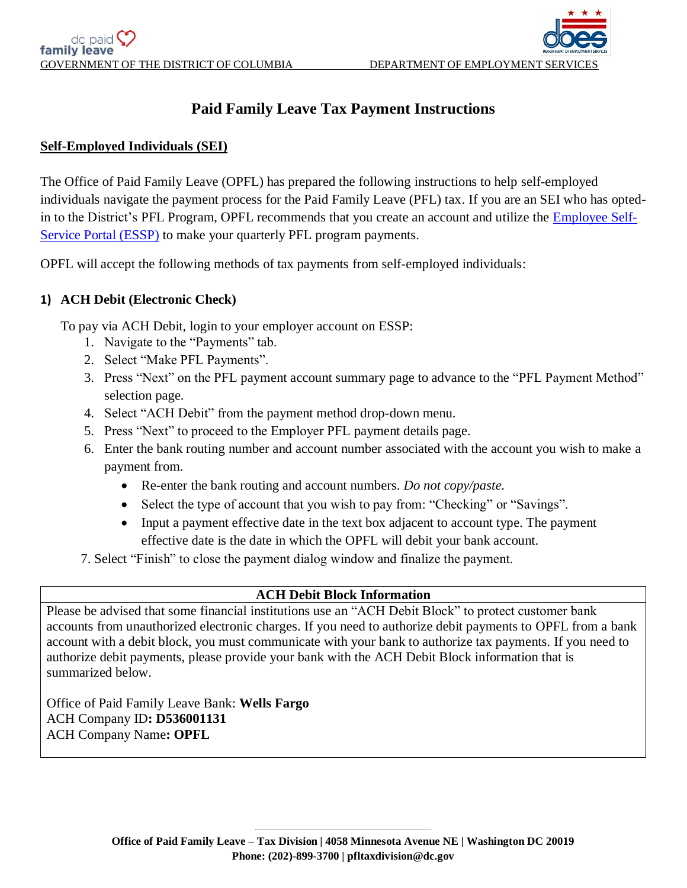

# **Paid Family Leave Tax Payment Instructions**

## **Self-Employed Individuals (SEI)**

The Office of Paid Family Leave (OPFL) has prepared the following instructions to help self-employed individuals navigate the payment process for the Paid Family Leave (PFL) tax. If you are an SEI who has optedin to the District's PFL Program, OPFL recommends that you create an account and utilize the [Employee Self-](https://essp.does.dc.gov/)[Service Portal \(ESSP\)](https://essp.does.dc.gov/) to make your quarterly PFL program payments.

OPFL will accept the following methods of tax payments from self-employed individuals:

#### **1) ACH Debit (Electronic Check)**

To pay via ACH Debit, login to your employer account on ESSP:

- 1. Navigate to the "Payments" tab.
- 2. Select "Make PFL Payments".
- 3. Press "Next" on the PFL payment account summary page to advance to the "PFL Payment Method" selection page.
- 4. Select "ACH Debit" from the payment method drop-down menu.
- 5. Press "Next" to proceed to the Employer PFL payment details page.
- 6. Enter the bank routing number and account number associated with the account you wish to make a payment from.
	- Re-enter the bank routing and account numbers. *Do not copy/paste.*
	- Select the type of account that you wish to pay from: "Checking" or "Savings".
	- Input a payment effective date in the text box adjacent to account type. The payment effective date is the date in which the OPFL will debit your bank account.
- 7. Select "Finish" to close the payment dialog window and finalize the payment.

## **ACH Debit Block Information**

Please be advised that some financial institutions use an "ACH Debit Block" to protect customer bank accounts from unauthorized electronic charges. If you need to authorize debit payments to OPFL from a bank account with a debit block, you must communicate with your bank to authorize tax payments. If you need to authorize debit payments, please provide your bank with the ACH Debit Block information that is summarized below.

Office of Paid Family Leave Bank: **Wells Fargo** ACH Company ID**: D536001131** ACH Company Name**: OPFL**